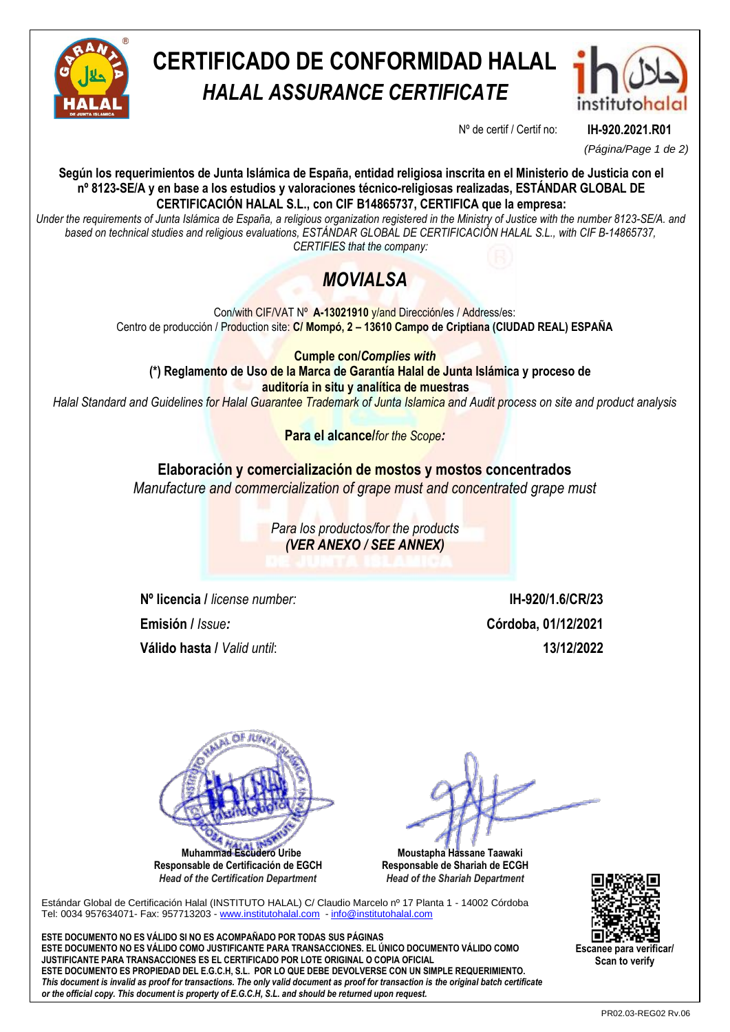

# **CERTIFICADO DE CONFORMIDAD HALAL** *HALAL ASSURANCE CERTIFICATE*



Nº de certif / Certif no: **IH-920.2021.R01**

*(Página/Page 1 de 2)*

**Según los requerimientos de Junta Islámica de España, entidad religiosa inscrita en el Ministerio de Justicia con el nº 8123-SE/A y en base a los estudios y valoraciones técnico-religiosas realizadas, ESTÁNDAR GLOBAL DE CERTIFICACIÓN HALAL S.L., con CIF B14865737, CERTIFICA que la empresa:**

*Under the requirements of Junta Islámica de España, a religious organization registered in the Ministry of Justice with the number 8123-SE/A. and based on technical studies and religious evaluations, ESTÁNDAR GLOBAL DE CERTIFICACIÓN HALAL S.L., with CIF B-14865737, CERTIFIES that the company:*

## *MOVIALSA*

Con/with CIF/VAT Nº **A-13021910** y/and Dirección/es / Address/es: Centro de producción / Production site: **C/ Mompó, 2 – 13610 Campo de Criptiana (CIUDAD REAL) ESPAÑA**

**Cumple con/***Complies with* **(\*) Reglamento de Uso de la Marca de Garantía Halal de Junta Islámica y proceso de auditoría in situ y analítica de muestras**

*Halal Standard and Guidelines for Halal Guarantee Trademark of Junta Islamica and Audit process on site and product analysis*

**Para el alcance/***for the Scope:*

### **Elaboración y comercialización de mostos y mostos concentrados**

*Manufacture and commercialization of grape must and concentrated grape must*

*Para los productos/for the products (VER ANEXO / SEE ANNEX)*

**Nº licencia /** *license number:* **IH-920/1.6/CR/23 Emisión /** *Issue:* **Córdoba, 01/12/2021 Válido hasta /** *Valid until*: **13/12/2022**



**Responsable de Certificación de EGCH**  *Head of the Certification Department*

 **Moustapha Hassane Taawaki Responsable de Shariah de ECGH** *Head of the Shariah Department*

Estándar Global de Certificación Halal (INSTITUTO HALAL) C/ Claudio Marcelo nº 17 Planta 1 - 14002 Córdoba Tel: 0034 957634071- Fax: 957713203 - [www.institutohalal.com](http://www.institutohalal.com/) - [info@institutohalal.com](mailto:info@institutohalal.com)

**ESTE DOCUMENTO NO ES VÁLIDO SI NO ES ACOMPAÑADO POR TODAS SUS PÁGINAS ESTE DOCUMENTO NO ES VÁLIDO COMO JUSTIFICANTE PARA TRANSACCIONES. EL ÚNICO DOCUMENTO VÁLIDO COMO JUSTIFICANTE PARA TRANSACCIONES ES EL CERTIFICADO POR LOTE ORIGINAL O COPIA OFICIAL ESTE DOCUMENTO ES PROPIEDAD DEL E.G.C.H, S.L. POR LO QUE DEBE DEVOLVERSE CON UN SIMPLE REQUERIMIENTO.** *This document is invalid as proof for transactions. The only valid document as proof for transaction is the original batch certificate or the official copy. This document is property of E.G.C.H, S.L. and should be returned upon request.*